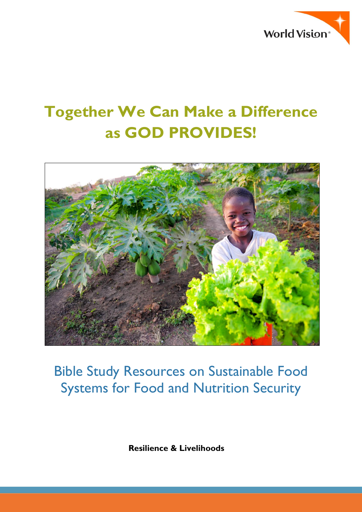

# **Together We Can Make a Difference as GOD PROVIDES!**



# Bible Study Resources on Sustainable Food Systems for Food and Nutrition Security

 **Resilience & Livelihoods**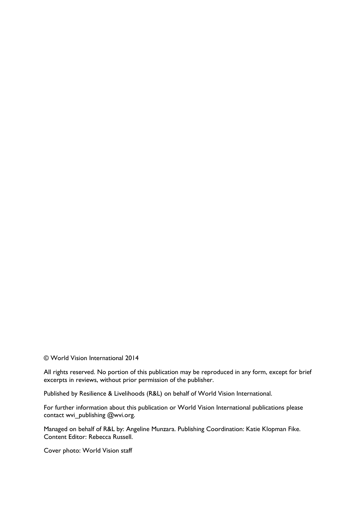© World Vision International 2014

All rights reserved. No portion of this publication may be reproduced in any form, except for brief excerpts in reviews, without prior permission of the publisher.

Published by Resilience & Livelihoods (R&L) on behalf of World Vision International.

For further information about this publication or World Vision International publications please contact wvi\_publishing @wvi.org.

Managed on behalf of R&L by: Angeline Munzara. Publishing Coordination: Katie Klopman Fike. Content Editor: Rebecca Russell.

Cover photo: World Vision staff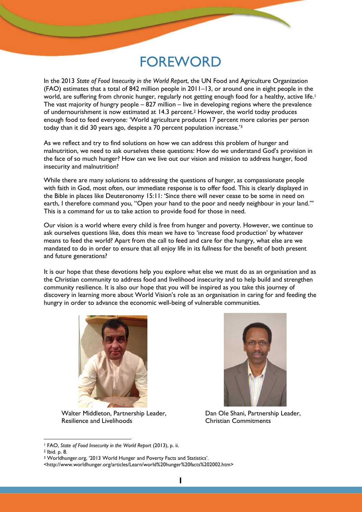# FOREWORD

In the 2013 *State of Food Insecurity in the World Report*, the UN Food and Agriculture Organization (FAO) estimates that a total of 842 million people in 2011–13, or around one in eight people in the world, are suffering from chronic hunger, regularly not getting enough food for a healthy, active life.<sup>1</sup> The vast majority of hungry people – 827 million – live in developing regions where the prevalence of undernourishment is now estimated at 14.3 percent.2 However, the world today produces enough food to feed everyone: 'World agriculture produces 17 percent more calories per person today than it did 30 years ago, despite a 70 percent population increase.'<sup>3</sup>

As we reflect and try to find solutions on how we can address this problem of hunger and malnutrition, we need to ask ourselves these questions: How do we understand God's provision in the face of so much hunger? How can we live out our vision and mission to address hunger, food insecurity and malnutrition?

While there are many solutions to addressing the questions of hunger, as compassionate people with faith in God, most often, our immediate response is to offer food. This is clearly displayed in the Bible in places like Deuteronomy 15:11: 'Since there will never cease to be some in need on earth, I therefore command you, "Open your hand to the poor and needy neighbour in your land." This is a command for us to take action to provide food for those in need.

Our vision is a world where every child is free from hunger and poverty. However, we continue to ask ourselves questions like, does this mean we have to 'increase food production' by whatever means to feed the world? Apart from the call to feed and care for the hungry, what else are we mandated to do in order to ensure that all enjoy life in its fullness for the benefit of both present and future generations?

It is our hope that these devotions help you explore what else we must do as an organisation and as the Christian community to address food and livelihood insecurity and to help build and strengthen community resilience. It is also our hope that you will be inspired as you take this journey of discovery in learning more about World Vision's role as an organisation in caring for and feeding the hungry in order to advance the economic well-being of vulnerable communities.



Walter Middleton, Partnership Leader, Resilience and Livelihoods



Dan Ole Shani, Partnership Leader, Christian Commitments

-

<sup>1</sup> FAO, *State of Food Insecurity in the World Report* (2013), p. ii.

<sup>2</sup> Ibid. p. 8.

<sup>3</sup> Worldhunger.org, '2013 World Hunger and Poverty Facts and Statistics'.

<sup>&</sup>lt;http://www.worldhunger.org/articles/Learn/world%20hunger%20facts%202002.htm>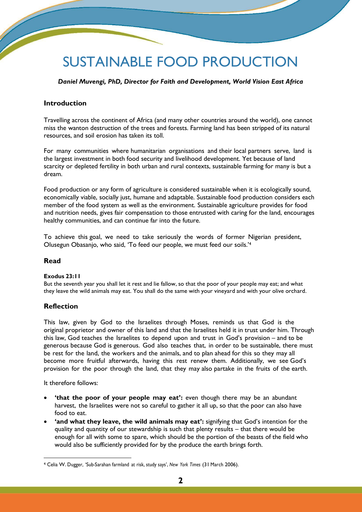# SUSTAINABLE FOOD PRODUCTION

*Daniel Muvengi, PhD, Director for Faith and Development, World Vision East Africa*

# **Introduction**

Travelling across the continent of Africa (and many other countries around the world), one cannot miss the wanton destruction of the trees and forests. Farming land has been stripped of its natural resources, and soil erosion has taken its toll.

For many communities where humanitarian organisations and their local partners serve, land is the largest investment in both food security and livelihood development. Yet because of land scarcity or depleted fertility in both urban and rural contexts, sustainable farming for many is but a dream.

Food production or any form of agriculture is considered sustainable when it is ecologically sound, economically viable, socially just, humane and adaptable. Sustainable food production considers each member of the food system as well as the environment. Sustainable agriculture provides for food and nutrition needs, gives fair compensation to those entrusted with caring for the land, encourages healthy communities, and can continue far into the future.

To achieve this goal, we need to take seriously the words of former Nigerian president, Olusegun Obasanjo, who said, 'To feed our people, we must feed our soils.'<sup>4</sup>

### **Read**

### **Exodus 23:11**

But the seventh year you shall let it rest and lie fallow, so that the poor of your people may eat; and what they leave the wild animals may eat. You shall do the same with your vineyard and with your olive orchard.

### **Reflection**

This law, given by God to the Israelites through Moses, reminds us that God is the original proprietor and owner of this land and that the Israelites held it in trust under him. Through this law, God teaches the Israelites to depend upon and trust in God's provision – and to be generous because God is generous. God also teaches that, in order to be sustainable, there must be rest for the land, the workers and the animals, and to plan ahead for this so they may all become more fruitful afterwards, having this rest renew them. Additionally, we see God's provision for the poor through the land, that they may also partake in the fruits of the earth.

It therefore follows:

-

- **'that the poor of your people may eat':** even though there may be an abundant harvest, the Israelites were not so careful to gather it all up, so that the poor can also have food to eat.
- **'and what they leave, the wild animals may eat':** signifying that God's intention for the quality and quantity of our stewardship is such that plenty results – that there would be enough for all with some to spare, which should be the portion of the beasts of the field who would also be sufficiently provided for by the produce the earth brings forth.

<sup>4</sup> Celia W. Dugger, 'Sub-Sarahan farmland at risk, study says', *New York Times* (31 March 2006).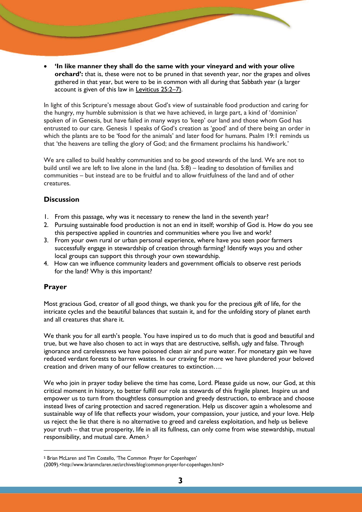**'In like manner they shall do the same with your vineyard and with your olive orchard':** that is, these were not to be pruned in that seventh year, nor the grapes and olives gathered in that year, but were to be in common with all during that Sabbath year (a larger account is given of this law in [Leviticus 25:2](http://www.biblestudytools.com/bible/passage.aspx?q=Leviticus%2B25%3A2-7)–7).

In light of this Scripture's message about God's view of sustainable food production and caring for the hungry, my humble submission is that we have achieved, in large part, a kind of 'dominion' spoken of in Genesis, but have failed in many ways to 'keep' our land and those whom God has entrusted to our care. Genesis 1 speaks of God's creation as 'good' and of there being an order in which the plants are to be 'food for the animals' and later food for humans. Psalm 19:1 reminds us that 'the heavens are telling the glory of God; and the firmament proclaims his handiwork.'

We are called to build healthy communities and to be good stewards of the land. We are not to build until we are left to live alone in the land (Isa. 5:8) – leading to desolation of families and communities – but instead are to be fruitful and to allow fruitfulness of the land and of other creatures.

# **Discussion**

- 1. From this passage, why was it necessary to renew the land in the seventh year?
- 2. Pursuing sustainable food production is not an end in itself; worship of God is. How do you see this perspective applied in countries and communities where you live and work?
- 3. From your own rural or urban personal experience, where have you seen poor farmers successfully engage in stewardship of creation through farming? Identify ways you and other local groups can support this through your own stewardship.
- 4. How can we influence community leaders and government officials to observe rest periods for the land? Why is this important?

# **Prayer**

-

Most gracious God, creator of all good things, we thank you for the precious gift of life, for the intricate cycles and the beautiful balances that sustain it, and for the unfolding story of planet earth and all creatures that share it.

We thank you for all earth's people. You have inspired us to do much that is good and beautiful and true, but we have also chosen to act in ways that are destructive, selfish, ugly and false. Through ignorance and carelessness we have poisoned clean air and pure water. For monetary gain we have reduced verdant forests to barren wastes. In our craving for more we have plundered your beloved creation and driven many of our fellow creatures to extinction….

We who join in prayer today believe the time has come, Lord. Please guide us now, our God, at this critical moment in history, to better fulfill our role as stewards of this fragile planet. Inspire us and empower us to turn from thoughtless consumption and greedy destruction, to embrace and choose instead lives of caring protection and sacred regeneration. Help us discover again a wholesome and sustainable way of life that reflects your wisdom, your compassion, your justice, and your love. Help us reject the lie that there is no alternative to greed and careless exploitation, and help us believe your truth – that true prosperity, life in all its fullness, can only come from wise stewardship, mutual responsibility, and mutual care. Amen.<sup>5</sup>

<sup>5</sup> Brian McLaren and Tim Costello, 'The Common Prayer for Copenhagen'

<sup>(2009</sup>[\).<http://www.brianmclaren.net/archives/blog/common-prayer-for-copenhagen.html>](http://www.brianmclaren.net/archives/blog/common-prayer-for-copenhagen.html)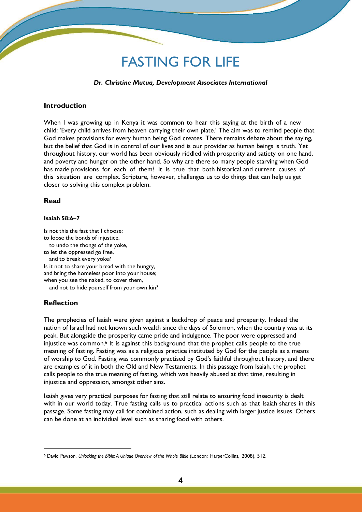# FASTING FOR LIFE

#### *Dr. Christine Mutua, Development Associates International*

### **Introduction**

When I was growing up in Kenya it was common to hear this saying at the birth of a new child: 'Every child arrives from heaven carrying their own plate.' The aim was to remind people that God makes provisions for every human being God creates. There remains debate about the saying, but the belief that God is in control of our lives and is our provider as human beings is truth. Yet throughout history, our world has been obviously riddled with prosperity and satiety on one hand, and poverty and hunger on the other hand. So why are there so many people starving when God has made provisions for each of them? It is true that both historical and current causes of this situation are complex. Scripture, however, challenges us to do things that can help us get closer to solving this complex problem.

### **Read**

#### **Isaiah 58:6–7**

Is not this the fast that I choose: to loose the bonds of injustice, to undo the thongs of the yoke, to let the oppressed go free, and to break every yoke? Is it not to share your bread with the hungry, and bring the homeless poor into your house; when you see the naked, to cover them,

and not to hide yourself from your own kin?

### **Reflection**

-

The prophecies of Isaiah were given against a backdrop of peace and prosperity. Indeed the nation of Israel had not known such wealth since the days of Solomon, when the country was at its peak. But alongside the prosperity came pride and indulgence. The poor were oppressed and injustice was common.<sup>6</sup> It is against this background that the prophet calls people to the true meaning of fasting. Fasting was as a religious practice instituted by God for the people as a means of worship to God. Fasting was commonly practised by God's faithful throughout history, and there are examples of it in both the Old and New Testaments. In this passage from Isaiah, the prophet calls people to the true meaning of fasting, which was heavily abused at that time, resulting in injustice and oppression, amongst other sins.

Isaiah gives very practical purposes for fasting that still relate to ensuring food insecurity is dealt with in our world today. True fasting calls us to practical actions such as that Isaiah shares in this passage. Some fasting may call for combined action, such as dealing with larger justice issues. Others can be done at an individual level such as sharing food with others.

<sup>6</sup> David Pawson, *Unlocking the Bible: A Unique Overview of the Whole Bible* (London: HarperCollins, 2008), 512.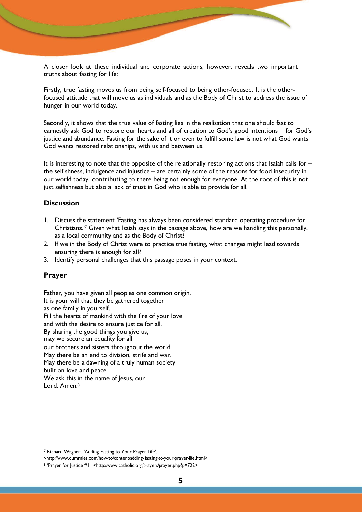A closer look at these individual and corporate actions, however, reveals two important truths about fasting for life:

Firstly, true fasting moves us from being self-focused to being other-focused. It is the otherfocused attitude that will move us as individuals and as the Body of Christ to address the issue of hunger in our world today.

Secondly, it shows that the true value of fasting lies in the realisation that one should fast to earnestly ask God to restore our hearts and all of creation to God's good intentions – for God's justice and abundance. Fasting for the sake of it or even to fulfill some law is not what God wants – God wants restored relationships, with us and between us.

It is interesting to note that the opposite of the relationally restoring actions that Isaiah calls for – the selfishness, indulgence and injustice – are certainly some of the reasons for food insecurity in our world today, contributing to there being not enough for everyone. At the root of this is not just selfishness but also a lack of trust in God who is able to provide for all.

### **Discussion**

- 1. Discuss the statement 'Fasting has always been considered standard operating procedure for Christians.'<sup>7</sup> Given what Isaiah says in the passage above, how are we handling this personally, as a local community and as the Body of Christ?
- 2. If we in the Body of Christ were to practice true fasting, what changes might lead towards ensuring there is enough for all?
- 3. Identify personal challenges that this passage poses in your context.

### **Prayer**

-

Father, you have given all peoples one common origin. It is your [will](http://www.catholic.org/encyclopedia/view.php?id=12332) that they be gathered together as one [fam](http://www.catholic.org/encyclopedia/view.php?id=4568)ily in yourself. Fill the hearts of mankind with the fire of your love and with the desire to ensure [justice f](http://www.catholic.org/encyclopedia/view.php?id=6550)or all. By sharing [the goo](http://www.catholic.org/encyclopedia/view.php?id=5257)d things you give us, may we secure an equality for all our brothers and sisters throughout the world. May there be an end to division, strife and war. May there be a dawning of a truly human society built on love and peace. We ask this in the name of lesus, our Lord. Amen.<sup>8</sup>

<sup>7</sup> [Richard Wagner,](http://www.dummies.com/search.html?query=Richard%2BWagner) 'Adding Fasting to Your Prayer Life'.

[<sup>&</sup>lt;http://www.dummies.com/how-to/content/adding- fa](http://www.dummies.com/how-to/content/adding-)sting-to-your-prayer-life.html>

<sup>8</sup> 'Prayer for Justice #1'. [<http://www.catholic.org/prayers/prayer.php?p=722>](http://www.catholic.org/prayers/prayer.php?p=722)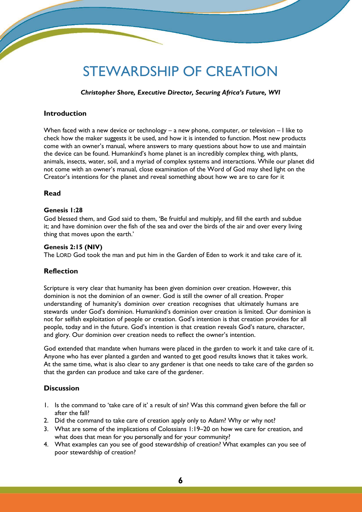# STEWARDSHIP OF CREATION

### *Christopher Shore, Executive Director, Securing Africa's Future, WVI*

# **Introduction**

When faced with a new device or technology – a new phone, computer, or television – I like to check how the maker suggests it be used, and how it is intended to function. Most new products come with an owner's manual, where answers to many questions about how to use and maintain the device can be found. Humankind's home planet is an incredibly complex thing, with plants, animals, insects, water, soil, and a myriad of complex systems and interactions. While our planet did not come with an owner's manual, close examination of the Word of God may shed light on the Creator's intentions for the planet and reveal something about how we are to care for it

### **Read**

### **Genesis 1:28**

God blessed them, and God said to them, 'Be fruitful and multiply, and fill the earth and subdue it; and have dominion over the fish of the sea and over the birds of the air and over every living thing that moves upon the earth.'

### **Genesis 2:15 (NIV)**

The LORD God took the man and put him in the Garden of Eden to work it and take care of it.

### **Reflection**

Scripture is very clear that humanity has been given dominion over creation. However, this dominion is not the dominion of an owner. God is still the owner of all creation. Proper understanding of humanity's dominion over creation recognises that ultimately humans are stewards under God's dominion. Humankind's dominion over creation is limited. Our dominion is not for selfish exploitation of people or creation. God's intention is that creation provides for all people, today and in the future. God's intention is that creation reveals God's nature, character, and glory. Our dominion over creation needs to reflect the owner's intention.

God extended that mandate when humans were placed in the garden to work it and take care of it. Anyone who has ever planted a garden and wanted to get good results knows that it takes work. At the same time, what is also clear to any gardener is that one needs to take care of the garden so that the garden can produce and take care of the gardener.

### **Discussion**

- 1. Is the command to 'take care of it' a result of sin? Was this command given before the fall or after the fall?
- 2. Did the command to take care of creation apply only to Adam? Why or why not?
- 3. What are some of the implications of Colossians 1:19–20 on how we care for creation, and what does that mean for you personally and for your community?
- 4. What examples can you see of good stewardship of creation? What examples can you see of poor stewardship of creation?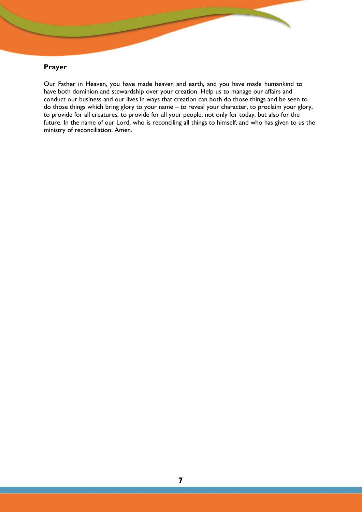# **Prayer**

Our Father in Heaven, you have made heaven and earth, and you have made humankind to have both dominion and stewardship over your creation. Help us to manage our affairs and conduct our business and our lives in ways that creation can both do those things and be seen to do those things which bring glory to your name – to reveal your character, to proclaim your glory, to provide for all creatures, to provide for all your people, not only for today, but also for the future. In the name of our Lord, who is reconciling all things to himself, and who has given to us the ministry of reconciliation. Amen.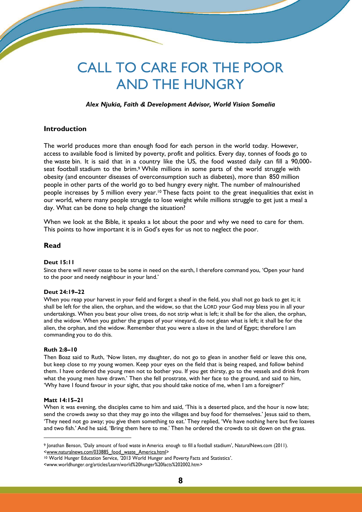# CALL TO CARE FOR THE POOR AND THE HUNGRY

### *Alex Njukia, Faith & Development Advisor, World Vision Somalia*

### **Introduction**

The world produces more than enough food for each person in the world today. However, access to available food is limited by poverty, profit and politics. Every day, tonnes of foods go to the waste bin. It is said that in a country like the US, the food wasted daily can fill a 90,000 seat football stadium to the brim. <sup>9</sup> While millions in some parts of the world struggle with obesity (and encounter diseases of overconsumption such as diabetes), more than 850 million people in other parts of the world go to bed hungry every night. The number of malnourished people increases by 5 million every year.<sup>10</sup> These facts point to the great inequalities that exist in our world, where many people struggle to lose weight while millions struggle to get just a meal a day. What can be done to help change the situation?

When we look at the Bible, it speaks a lot about the poor and why we need to care for them. This points to how important it is in God's eyes for us not to neglect the poor.

### **Read**

### **Deut 15:11**

Since there will never cease to be some in need on the earth, I therefore command you, 'Open your hand to the poor and needy neighbour in your land.'

#### **Deut 24:19–22**

When you reap your harvest in your field and forget a sheaf in the field, you shall not go back to get it; it shall be left for the alien, the orphan, and the widow, so that the LORD your God may bless you in all your undertakings. When you beat your olive trees, do not strip what is left; it shall be for the alien, the orphan, and the widow. When you gather the grapes of your vineyard, do not glean what is left; it shall be for the alien, the orphan, and the widow. Remember that you were a slave in the land of Egypt; therefore I am commanding you to do this.

#### **Ruth 2:8–10**

Then Boaz said to Ruth, 'Now listen, my daughter, do not go to glean in another field or leave this one, but keep close to my young women. Keep your eyes on the field that is being reaped, and follow behind them. I have ordered the young men not to bother you. If you get thirsty, go to the vessels and drink from what the young men have drawn.' Then she fell prostrate, with her face to the ground, and said to him, 'Why have I found favour in your sight, that you should take notice of me, when I am a foreigner?'

#### **Matt 14:15–21**

-

When it was evening, the disciples came to him and said, 'This is a deserted place, and the hour is now late; send the crowds away so that they may go into the villages and buy food for themselves.' Jesus said to them, 'They need not go away; you give them something to eat.' They replied, 'We have nothing here but five loaves and two fish.' And he said, 'Bring them here to me.' Then he ordered the crowds to sit down on the grass.

<sup>9</sup> Jonathan Benson, 'Daily amount of food waste in America enough to fill a football stadium', NaturalNews.com (2011). [<www.naturalnews.com/033885\\_food\\_waste\\_America.html>](http://www.naturalnews.com/033885_food_waste_America.html)

<sup>10</sup> World Hunger Education Service, '2013 World Hunger and Poverty Facts and Statistics'.

[<sup>&</sup>lt;www.worldhunger.org/articles/Learn/world%20hunger%20facts%202002.htm>](http://www.worldhunger.org/articles/Learn/world%20hunger%20facts%202002.htm)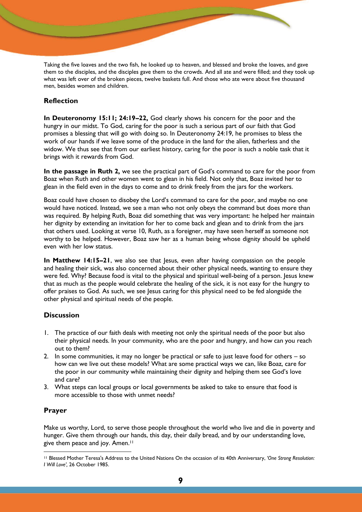Taking the five loaves and the two fish, he looked up to heaven, and blessed and broke the loaves, and gave them to the disciples, and the disciples gave them to the crowds. And all ate and were filled; and they took up what was left over of the broken pieces, twelve baskets full. And those who ate were about five thousand men, besides women and children.

### **Reflection**

**In Deuteronomy 15:11; 24:19–22,** God clearly shows his concern for the poor and the hungry in our midst. To God, caring for the poor is such a serious part of our faith that God promises a blessing that will go with doing so. In Deuteronomy 24:19, he promises to bless the work of our hands if we leave some of the produce in the land for the alien, fatherless and the widow. We thus see that from our earliest history, caring for the poor is such a noble task that it brings with it rewards from God.

**In the passage in Ruth 2,** we see the practical part of God's command to care for the poor from Boaz when Ruth and other women went to glean in his field. Not only that, Boaz invited her to glean in the field even in the days to come and to drink freely from the jars for the workers.

Boaz could have chosen to disobey the Lord's command to care for the poor, and maybe no one would have noticed. Instead, we see a man who not only obeys the command but does more than was required. By helping Ruth, Boaz did something that was very important: he helped her maintain her dignity by extending an invitation for her to come back and glean and to drink from the jars that others used. Looking at verse 10, Ruth, as a foreigner, may have seen herself as someone not worthy to be helped. However, Boaz saw her as a human being whose dignity should be upheld even with her low status.

**In Matthew 14:15–21**, we also see that Jesus, even after having compassion on the people and healing their sick, was also concerned about their other physical needs, wanting to ensure they were fed. Why? Because food is vital to the physical and spiritual well-being of a person. Jesus knew that as much as the people would celebrate the healing of the sick, it is not easy for the hungry to offer praises to God. As such, we see Jesus caring for this physical need to be fed alongside the other physical and spiritual needs of the people.

### **Discussion**

- 1. The practice of our faith deals with meeting not only the spiritual needs of the poor but also their physical needs. In your community, who are the poor and hungry, and how can you reach out to them?
- 2. In some communities, it may no longer be practical or safe to just leave food for others so how can we live out these models? What are some practical ways we can, like Boaz, care for the poor in our community while maintaining their dignity and helping them see God's love and care?
- 3. What steps can local groups or local governments be asked to take to ensure that food is more accessible to those with unmet needs?

### **Prayer**

-

Make us worthy, Lord, to serve those people throughout the world who live and die in poverty and hunger. Give them through our hands, this day, their daily bread, and by our understanding love, give them peace and joy. Amen.<sup>11</sup>

<sup>11</sup> Blessed Mother Teresa's Address to the United Nations On the occasion of its 40th Anniversary, *'One Strong Resolution: I Will Love',* 26 October 1985.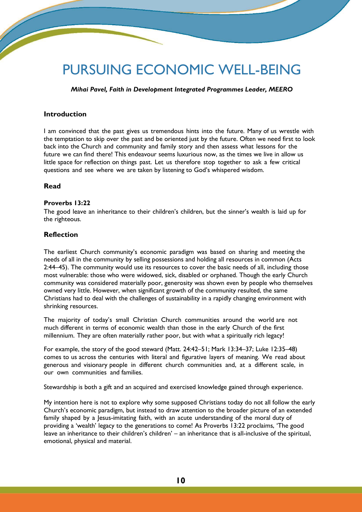# PURSUING ECONOMIC WELL-BEING

*Mihai Pavel, Faith in Development Integrated Programmes Leader, MEERO*

### **Introduction**

I am convinced that the past gives us tremendous hints into the future. Many of us wrestle with the temptation to skip over the past and be oriented just by the future. Often we need first to look back into the Church and community and family story and then assess what lessons for the future we can find there! This endeavour seems luxurious now, as the times we live in allow us little space for reflection on things past. Let us therefore stop together to ask a few critical questions and see where we are taken by listening to God's whispered wisdom.

### **Read**

### **Proverbs 13:22**

The good leave an inheritance to their children's children, but the sinner's wealth is laid up for the righteous.

### **Reflection**

The earliest Church community's economic paradigm was based on sharing and meeting the needs of all in the community by selling possessions and holding all resources in common (Acts 2:44–45). The community would use its resources to cover the basic needs of all, including those most vulnerable: those who were widowed, sick, disabled or orphaned. Though the early Church community was considered materially poor, generosity was shown even by people who themselves owned very little. However, when significant growth of the community resulted, the same Christians had to deal with the challenges of sustainability in a rapidly changing environment with shrinking resources.

The majority of today's small Christian Church communities around the world are not much different in terms of economic wealth than those in the early Church of the first millennium. They are often materially rather poor, but with what a spiritually rich legacy!

For example, the story of the good steward (Matt. 24:42–51; Mark 13:34–37; Luke 12:35–48) comes to us across the centuries with literal and figurative layers of meaning. We read about generous and visionary people in different church communities and, at a different scale, in our own communities and families.

Stewardship is both a gift and an acquired and exercised knowledge gained through experience.

My intention here is not to explore why some supposed Christians today do not all follow the early Church's economic paradigm, but instead to draw attention to the broader picture of an extended family shaped by a Jesus-imitating faith, with an acute understanding of the moral duty of providing a 'wealth' legacy to the generations to come! As Proverbs 13:22 proclaims, 'The good leave an inheritance to their children's children' – an inheritance that is all-inclusive of the spiritual, emotional, physical and material.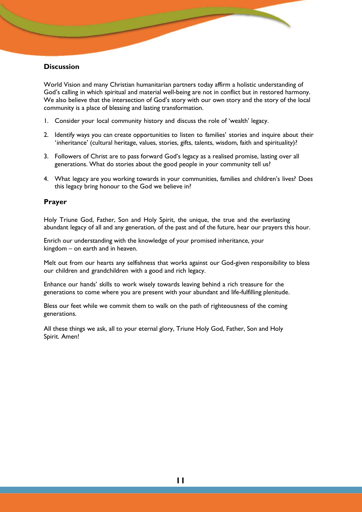### **Discussion**

World Vision and many Christian humanitarian partners today affirm a holistic understanding of God's calling in which spiritual and material well-being are not in conflict but in restored harmony. We also believe that the intersection of God's story with our own story and the story of the local community is a place of blessing and lasting transformation.

- 1. Consider your local community history and discuss the role of 'wealth' legacy.
- 2. Identify ways you can create opportunities to listen to families' stories and inquire about their 'inheritance' (cultural heritage, values, stories, gifts, talents, wisdom, faith and spirituality)?
- 3. Followers of Christ are to pass forward God's legacy as a realised promise, lasting over all generations. What do stories about the good people in your community tell us?
- 4. What legacy are you working towards in your communities, families and children's lives? Does this legacy bring honour to the God we believe in?

### **Prayer**

Holy Triune God, Father, Son and Holy Spirit, the unique, the true and the everlasting abundant legacy of all and any generation, of the past and of the future, hear our prayers this hour.

Enrich our understanding with the knowledge of your promised inheritance, your kingdom – on earth and in heaven.

Melt out from our hearts any selfishness that works against our God-given responsibility to bless our children and grandchildren with a good and rich legacy.

Enhance our hands' skills to work wisely towards leaving behind a rich treasure for the generations to come where you are present with your abundant and life-fulfilling plenitude.

Bless our feet while we commit them to walk on the path of righteousness of the coming generations.

All these things we ask, all to your eternal glory, Triune Holy God, Father, Son and Holy Spirit. Amen!